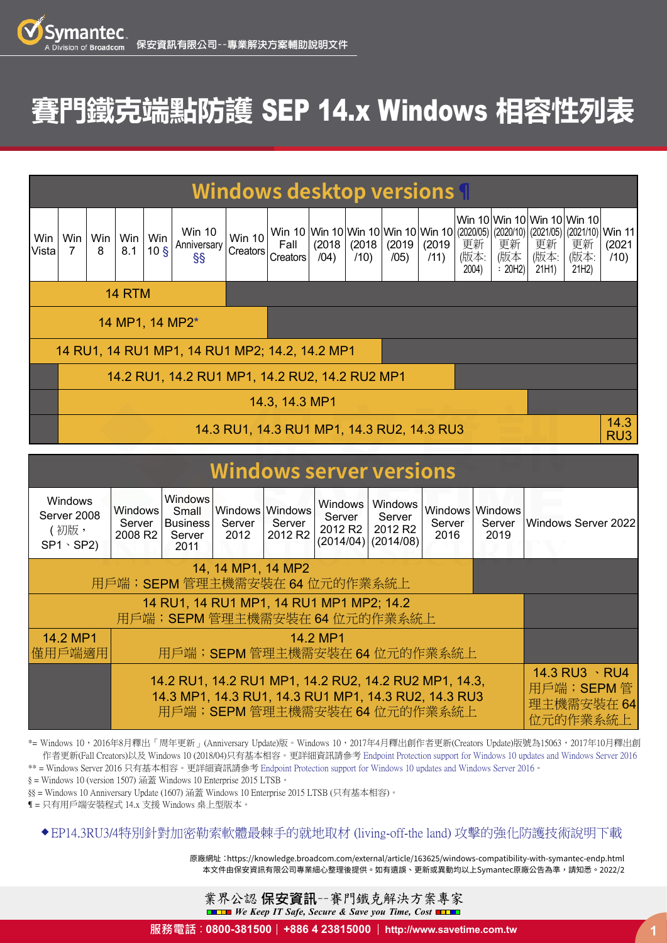## **賽門鐵克端點防護** SEP 14.x Windows **相容性列表**

| <b>Windows desktop versions</b>                |                                                |              |            |                        |                                           |                    |                                                        |                |                |                |                |                     |                      |                     |                                                                                                     |                |
|------------------------------------------------|------------------------------------------------|--------------|------------|------------------------|-------------------------------------------|--------------------|--------------------------------------------------------|----------------|----------------|----------------|----------------|---------------------|----------------------|---------------------|-----------------------------------------------------------------------------------------------------|----------------|
| Win<br>Vista                                   | Win<br>7                                       | Win $ $<br>8 | Win<br>8.1 | Win<br>10 <sub>5</sub> | <b>Win 10</b><br>Anniversary<br><b>SS</b> | Win 10<br>Creators | Win 10 Win 10 Win 10 Win 10 Win 10<br>Fall<br>Creators | (2018)<br>(04) | (2018)<br>(10) | (2019)<br>/05) | (2019)<br>(11) | 更新<br>(版本:<br>2004) | 更新<br>(版本<br>: 20H2) | 更新<br>(版本:<br>21H1) | Win 10 Win 10 Win 10 Win 10<br>(2020/05) (2020/10) (2021/05) (2021/10) Win 11<br>更新<br>(版本:<br>21H2 | (2021)<br>(10) |
| <b>14 RTM</b>                                  |                                                |              |            |                        |                                           |                    |                                                        |                |                |                |                |                     |                      |                     |                                                                                                     |                |
| 14 MP1, 14 MP2*                                |                                                |              |            |                        |                                           |                    |                                                        |                |                |                |                |                     |                      |                     |                                                                                                     |                |
| 14 RU1, 14 RU1 MP1, 14 RU1 MP2; 14.2, 14.2 MP1 |                                                |              |            |                        |                                           |                    |                                                        |                |                |                |                |                     |                      |                     |                                                                                                     |                |
|                                                | 14.2 RU1, 14.2 RU1 MP1, 14.2 RU2, 14.2 RU2 MP1 |              |            |                        |                                           |                    |                                                        |                |                |                |                |                     |                      |                     |                                                                                                     |                |
|                                                | 14.3, 14.3 MP1                                 |              |            |                        |                                           |                    |                                                        |                |                |                |                |                     |                      |                     |                                                                                                     |                |
|                                                | 14.3 RU1, 14.3 RU1 MP1, 14.3 RU2, 14.3 RU3     |              |            |                        |                                           |                    |                                                        |                |                |                | 14.3<br>RU3    |                     |                      |                     |                                                                                                     |                |
|                                                |                                                |              |            |                        |                                           |                    |                                                        |                |                |                |                |                     |                      |                     |                                                                                                     |                |

| <b>Windows server versions</b>                           |                                                        |                                                              |                                   |                               |                                          |                                                                   |                |                                   |                     |  |
|----------------------------------------------------------|--------------------------------------------------------|--------------------------------------------------------------|-----------------------------------|-------------------------------|------------------------------------------|-------------------------------------------------------------------|----------------|-----------------------------------|---------------------|--|
| <b>Windows</b><br>Server 2008<br>(初版,<br>$SP1 \cdot SP2$ | Windows<br>Server<br>2008 R <sub>2</sub>               | <b>Windows</b><br>Small<br><b>Business</b><br>Server<br>2011 | Windows Windows<br>Server<br>2012 | Server<br>2012 R <sub>2</sub> | Windows<br>Server<br>2012 R <sub>2</sub> | Windows<br>Server<br>2012 R <sub>2</sub><br>$(2014/04)$ (2014/08) | Server<br>2016 | Windows Windows<br>Server<br>2019 | Windows Server 2022 |  |
| 用戶端; SEPM 管理主機需安裝在 64 位元的作業系統上                           |                                                        |                                                              |                                   |                               |                                          |                                                                   |                |                                   |                     |  |
|                                                          |                                                        |                                                              |                                   |                               |                                          |                                                                   |                |                                   |                     |  |
| 14.2 MP1<br>14.2 MP1                                     |                                                        |                                                              |                                   |                               |                                          |                                                                   |                |                                   |                     |  |
| 懂用戶端適用                                                   | 用戶端; SEPM管理主機需安裝在 64 位元的作業系統上                          |                                                              |                                   |                               |                                          |                                                                   |                |                                   |                     |  |
|                                                          | 14.3 RU3 \ RU4<br>用戶端; SEPM管<br>理主機需安裝在 64<br>位元的作業系統上 |                                                              |                                   |                               |                                          |                                                                   |                |                                   |                     |  |

\*= Windows 10,2016年8月釋出「周年更新」(Anniversary Update)版。Windows 10,2017年4月釋出創作者更新(Creators Update)版號為15063,2017年10月釋出創 作者更新(Fall Creators)以及 Windows 10 (2018/04)只有基本相容。更詳細資訊請參考 [Endpoint Protection support for Windows 10 updates and Windows Server 2016](https://knowledge.broadcom.com/external/article?legacyId=TECH235458)

\*\* = Windows Server 2016 只有基本相容。更詳細資訊請參考 [Endpoint Protection support for Windows 10 updates and Windows Server 2016](https://knowledge.broadcom.com/external/article?legacyId=TECH235458)。

§ = Windows 10 (version 1507) 涵蓋 Windows 10 Enterprise 2015 LTSB。

§§ = Windows 10 Anniversary Update (1607) 涵蓋 Windows 10 Enterprise 2015 LTSB (只有基本相容)。

¶ = 只有用戶端安裝程式 14.x 支援 Windows 桌上型版本。

## [◆ EP14.3RU3/4特別針對加密勒索軟體最棘手的就地取材 \(living-off-the land\) 攻擊的強化防護技術說明下載](https://www.savetime.com.tw/whatsnew/SEP143RU4-Ransomware-LotL.pdf)

本文件由保安資訊有限公司專業細心整理後提供。如有遺誤、更新或異動均以上Symantec原廠公告為準,請知悉。2022/2 原廠網址[:https://knowledge.broadcom.com/external/article/163625/windows-compatibility-with-symantec-endp.html](https://knowledge.broadcom.com/external/article/163625/windows-compatibility-with-symantec-endp.html)